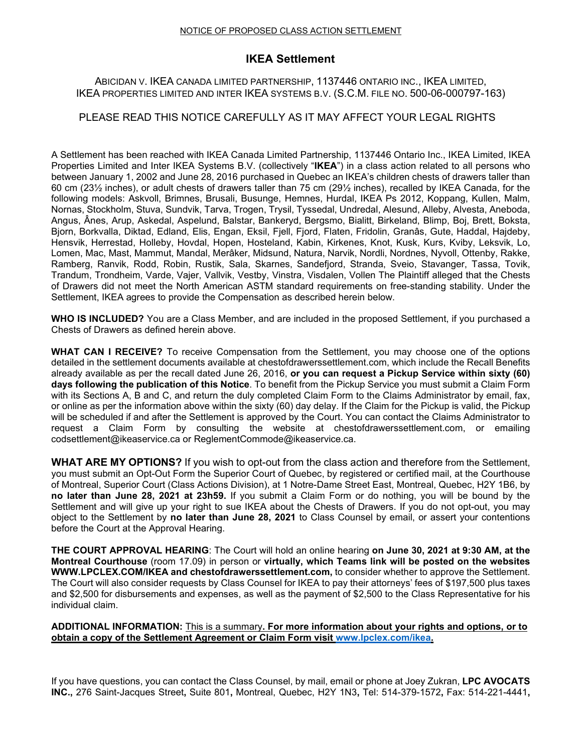#### NOTICE OF PROPOSED CLASS ACTION SETTLEMENT

# **IKEA Settlement**

### ABICIDAN V. IKEA CANADA LIMITED PARTNERSHIP, 1137446 ONTARIO INC., IKEA LIMITED, IKEA PROPERTIES LIMITED AND INTER IKEA SYSTEMS B.V. (S.C.M. FILE NO. 500-06-000797-163)

## PLEASE READ THIS NOTICE CAREFULLY AS IT MAY AFFECT YOUR LEGAL RIGHTS

A Settlement has been reached with IKEA Canada Limited Partnership, 1137446 Ontario Inc., IKEA Limited, IKEA Properties Limited and Inter IKEA Systems B.V. (collectively "**IKEA**") in a class action related to all persons who between January 1, 2002 and June 28, 2016 purchased in Quebec an IKEA's children chests of drawers taller than 60 cm (23½ inches), or adult chests of drawers taller than 75 cm (29½ inches), recalled by IKEA Canada, for the following models: Askvoll, Brimnes, Brusali, Busunge, Hemnes, Hurdal, IKEA Ps 2012, Koppang, Kullen, Malm, Nornas, Stockholm, Stuva, Sundvik, Tarva, Trogen, Trysil, Tyssedal, Undredal, Alesund, Alleby, Alvesta, Aneboda, Angus, Ânes, Arup, Askedal, Aspelund, Balstar, Bankeryd, Bergsmo, Bialitt, Birkeland, Blimp, Boj, Brett, Boksta, Bjorn, Borkvalla, Diktad, Edland, Elis, Engan, Eksil, Fjell, Fjord, Flaten, Fridolin, Granâs, Gute, Haddal, Hajdeby, Hensvik, Herrestad, Holleby, Hovdal, Hopen, Hosteland, Kabin, Kirkenes, Knot, Kusk, Kurs, Kviby, Leksvik, Lo, Lomen, Mac, Mast, Mammut, Mandal, Merâker, Midsund, Natura, Narvik, Nordli, Nordnes, Nyvoll, Ottenby, Rakke, Ramberg, Ranvik, Rodd, Robin, Rustik, Sala, Skarnes, Sandefjord, Stranda, Sveio, Stavanger, Tassa, Tovik, Trandum, Trondheim, Varde, Vajer, Vallvik, Vestby, Vinstra, Visdalen, Vollen The Plaintiff alleged that the Chests of Drawers did not meet the North American ASTM standard requirements on free-standing stability. Under the Settlement, IKEA agrees to provide the Compensation as described herein below.

**WHO IS INCLUDED?** You are a Class Member, and are included in the proposed Settlement, if you purchased a Chests of Drawers as defined herein above.

**WHAT CAN I RECEIVE?** To receive Compensation from the Settlement, you may choose one of the options detailed in the settlement documents available at chestofdrawerssettlement.com, which include the Recall Benefits already available as per the recall dated June 26, 2016, **or you can request a Pickup Service within sixty (60) days following the publication of this Notice**. To benefit from the Pickup Service you must submit a Claim Form with its Sections A, B and C, and return the duly completed Claim Form to the Claims Administrator by email, fax, or online as per the information above within the sixty (60) day delay. If the Claim for the Pickup is valid, the Pickup will be scheduled if and after the Settlement is approved by the Court. You can contact the Claims Administrator to request a Claim Form by consulting the website at chestofdrawerssettlement.com, or emailing [codsettlement@ikeaservice.ca](mailto:codsettlement@ikeaservice.ca) or [ReglementCommode@ikeaservice.ca.](mailto:ReglementCommode@ikeaservice.ca)

**WHAT ARE MY OPTIONS?** If you wish to opt-out from the class action and therefore from the Settlement, you must submit an Opt-Out Form the Superior Court of Quebec, by registered or certified mail, at the Courthouse of Montreal, Superior Court (Class Actions Division), at 1 Notre-Dame Street East, Montreal, Quebec, H2Y 1B6, by **no later than June 28, 2021 at 23h59.** If you submit a Claim Form or do nothing, you will be bound by the Settlement and will give up your right to sue IKEA about the Chests of Drawers. If you do not opt-out, you may object to the Settlement by **no later than June 28, 2021** to Class Counsel by email, or assert your contentions before the Court at the Approval Hearing.

**THE COURT APPROVAL HEARING**: The Court will hold an online hearing **on June 30, 2021 at 9:30 AM, at the Montreal Courthouse** (room 17.09) in person or **virtually, which Teams link will be posted on the websites WWW.LPCLEX.COM/IKEA and chestofdrawerssettlement.com,** to consider whether to approve the Settlement. The Court will also consider requests by Class Counsel for IKEA to pay their attorneys' fees of \$197,500 plus taxes and \$2,500 for disbursements and expenses, as well as the payment of \$2,500 to the Class Representative for his individual claim.

#### **ADDITIONAL INFORMATION:** This is a summary**. For more information about your rights and options, or to obtain a copy of the Settlement Agreement or Claim Form visit [www.lpclex.com/ikea.](http://www.lpclex.com/ikea)**

If you have questions, you can contact the Class Counsel, by mail, email or phone at Joey Zukran, **LPC AVOCATS INC.,** 276 Saint-Jacques Street**,** Suite 801**,** Montreal, Quebec, H2Y 1N3**,** Tel: 514-379-1572**,** Fax: 514-221-4441**,**